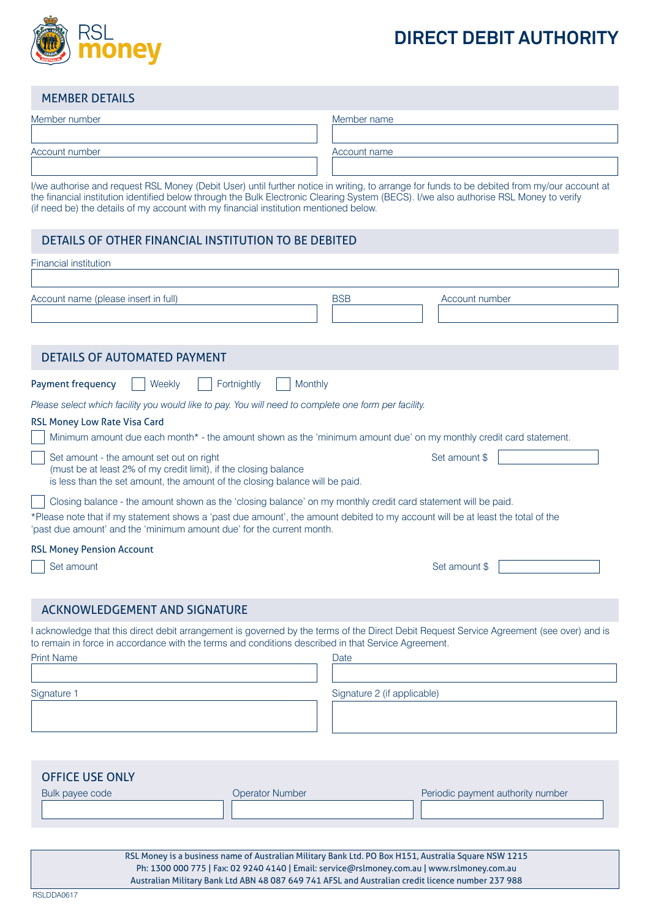

# **DIRECT DEBIT AUTHORITY**

## MEMBER DETAILS

| Member number  | Member name                                                                                                                                |
|----------------|--------------------------------------------------------------------------------------------------------------------------------------------|
|                |                                                                                                                                            |
| Account number | Account name                                                                                                                               |
|                |                                                                                                                                            |
|                | the contraction and concerns DOL Money (Debit Head with funking action in without a concern for funds to be debited from my development of |

I/we authorise and request RSL Money (Debit User) until further notice in writing, to arrange for funds to be debited from my/our account at the financial institution identified below through the Bulk Electronic Clearing System (BECS). I/we also authorise RSL Money to verify (if need be) the details of my account with my financial institution mentioned below.

# DETAILS OF OTHER FINANCIAL INSTITUTION TO BE DEBITED

| <b>Financial institution</b>                                                                                                                                                                                                                                                                                              |                              |
|---------------------------------------------------------------------------------------------------------------------------------------------------------------------------------------------------------------------------------------------------------------------------------------------------------------------------|------------------------------|
| Account name (please insert in full)                                                                                                                                                                                                                                                                                      | <b>BSB</b><br>Account number |
| <b>DETAILS OF AUTOMATED PAYMENT</b>                                                                                                                                                                                                                                                                                       |                              |
| <b>Payment frequency</b><br>Fortnightly<br>Monthly<br>Weekly<br>Please select which facility you would like to pay. You will need to complete one form per facility.<br><b>RSL Money Low Rate Visa Card</b>                                                                                                               |                              |
| Minimum amount due each month* - the amount shown as the 'minimum amount due' on my monthly credit card statement.                                                                                                                                                                                                        |                              |
| Set amount - the amount set out on right<br>(must be at least 2% of my credit limit), if the closing balance<br>is less than the set amount, the amount of the closing balance will be paid.                                                                                                                              | Set amount \$                |
| Closing balance - the amount shown as the 'closing balance' on my monthly credit card statement will be paid.<br>*Please note that if my statement shows a 'past due amount', the amount debited to my account will be at least the total of the<br>'past due amount' and the 'minimum amount due' for the current month. |                              |
| <b>RSL Money Pension Account</b>                                                                                                                                                                                                                                                                                          |                              |
| Set amount                                                                                                                                                                                                                                                                                                                | Set amount \$                |
| <b>ACKNOWLEDGEMENT AND SIGNATURE</b>                                                                                                                                                                                                                                                                                      |                              |
| I acknowledge that this direct debit arrangement is governed by the terms of the Direct Debit Request Service Agreement (see over) and is<br>to remain in force in accordance with the terms and conditions described in that Service Agreement.<br><b>Print Name</b>                                                     | Date                         |
|                                                                                                                                                                                                                                                                                                                           |                              |
| Signature 1                                                                                                                                                                                                                                                                                                               | Signature 2 (if applicable)  |
|                                                                                                                                                                                                                                                                                                                           |                              |

| <b>OFFICE USE ONLY</b> |                 |                                   |
|------------------------|-----------------|-----------------------------------|
| Bulk payee code        | Operator Number | Periodic payment authority number |
|                        |                 |                                   |

RSL Money is a business name of Australian Military Bank Ltd. PO Box H151, Australia Square NSW 1215 Ph: 1300 000 775 | Fax: 02 9240 4140 | Email: service@rslmoney.com.au | www.rslmoney.com.au Australian Military Bank Ltd ABN 48 087 649 741 AFSL and Australian credit licence number 237 988